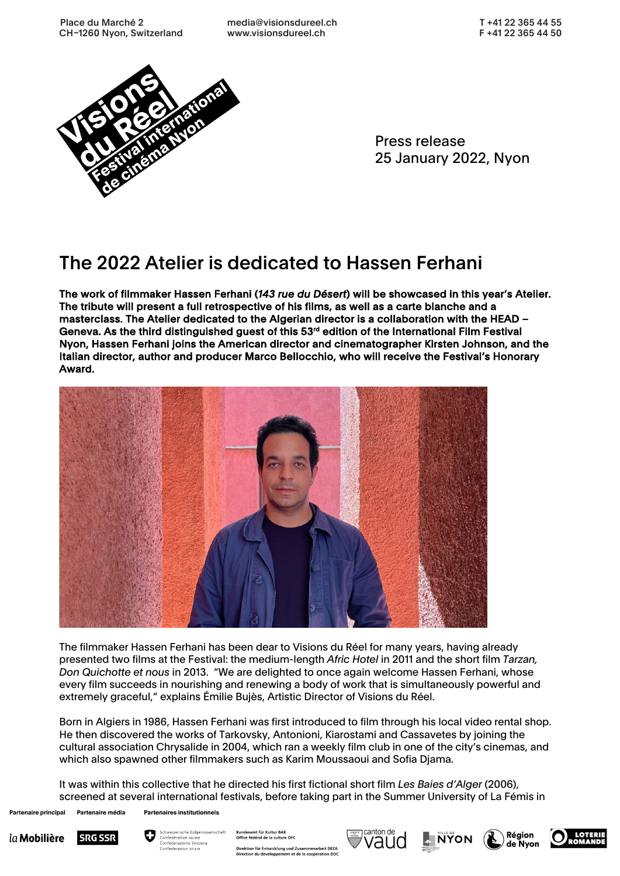

Press release 25 January 2022, Nyon

## The 2022 Atelier is dedicated to Hassen Ferhani

The work of filmmaker Hassen Ferhani (*143 rue du Désert*) will be showcased in this year's Atelier. The tribute will present a full retrospective of his films, as well as a carte blanche and a masterclass. The Atelier dedicated to the Algerian director is a collaboration with the HEAD – Geneva. As the third distinguished guest of this 53<sup>rd</sup> edition of the International Film Festival Nyon, Hassen Ferhani joins the American director and cinematographer Kirsten Johnson, and the Italian director, author and producer Marco Bellocchio, who will receive the Festival's Honorary Award.



The filmmaker Hassen Ferhani has been dear to Visions du Réel for many years, having already presented two films at the Festival: the medium-length *Afric Hotel* in 2011 and the short film *Tarzan, Don Quichotte et nous* in 2013. "We are delighted to once again welcome Hassen Ferhani, whose every film succeeds in nourishing and renewing a body of work that is simultaneously powerful and extremely graceful," explains Émilie Bujès, Artistic Director of Visions du Réel.

Born in Algiers in 1986, Hassen Ferhani was first introduced to film through his local video rental shop. He then discovered the works of Tarkovsky, Antonioni, Kiarostami and Cassavetes by joining the cultural association Chrysalide in 2004, which ran a weekly film club in one of the city's cinemas, and which also spawned other filmmakers such as Karim Moussaoui and Sofia Djama.

It was within this collective that he directed his first fictional short film *Les Baies d'Alger* (2006), screened at several international festivals, before taking part in the Summer University of La Fémis in

Partenaire média **Partenaire principal** 

**Partenaires institutionnels** 





Bundesamt für Kultur BAK<br>Office fédéral de la culture OFC Direktion für Entwicklung und Zusammenarbeit DEZA<br>Direction du développement et de la coopération DDC